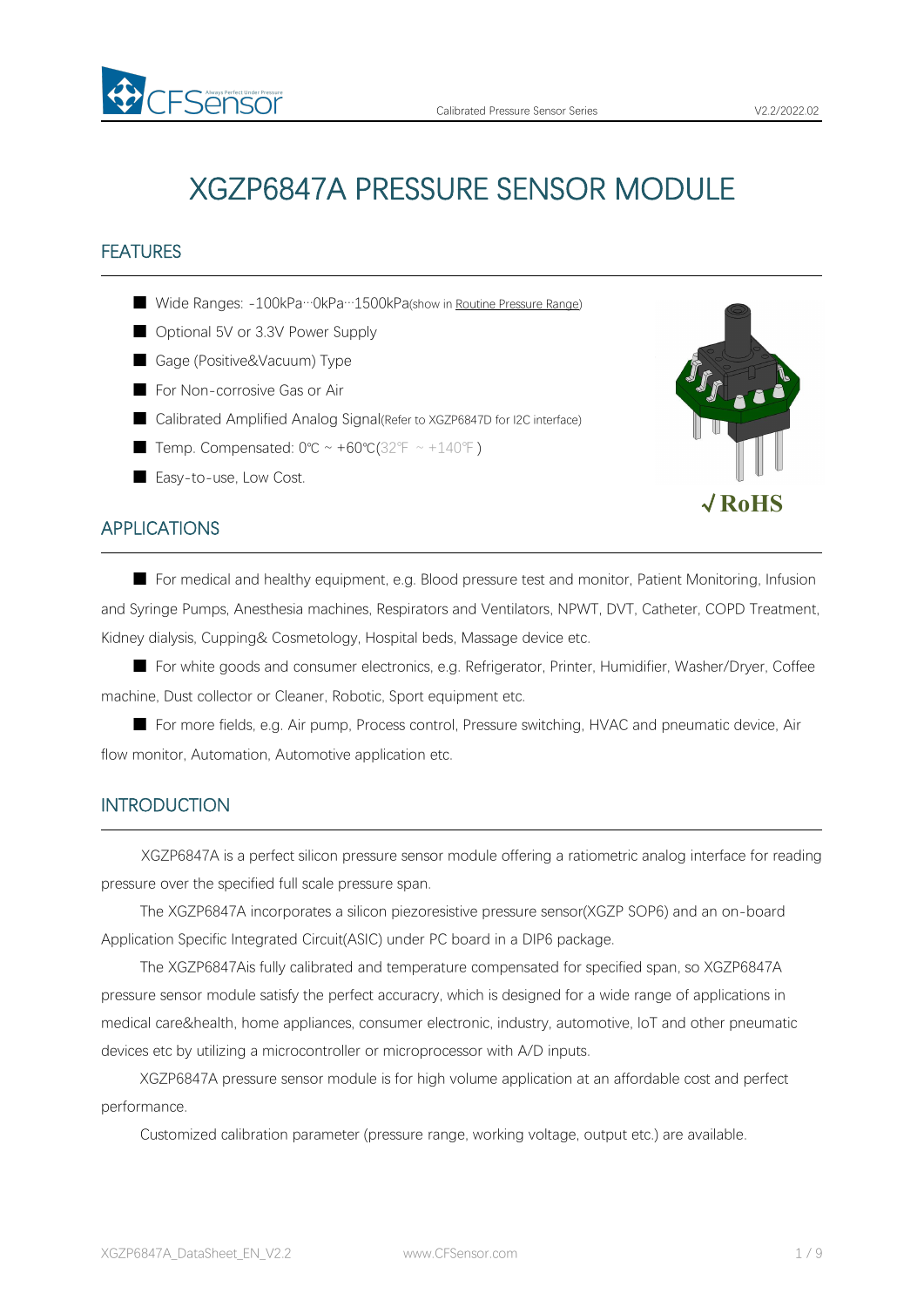# XGZP6847A PRESSURE SENSOR MODULE

# FEATURES

- Wide Ranges: -100kPa…0kPa…1500kPa(show in Routine [Pressure](#page-4-0) Range)
- Optional 5V or 3.3V Power Supply
- Gage (Positive&Vacuum) Type
- For Non-corrosive Gas or Air
- Calibrated Amplified Analog Signal(Refer to XGZP6847D for I2C interface)
- Temp. Compensated: 0℃ ~ +60℃(32°F ~ +140°F)
- Easy-to-use, Low Cost.

# APPLICATIONS

■ For medical and healthy equipment, e.g. Blood pressure test and monitor, Patient Monitoring, Infusion and Syringe Pumps, Anesthesia machines, Respirators and Ventilators, NPWT, DVT, Catheter, COPD Treatment, Kidney dialysis, Cupping& Cosmetology, Hospital beds, Massage device etc.

■ For white goods and consumer electronics, e.g. Refrigerator, Printer, Humidifier, Washer/Dryer, Coffee machine, Dust collector or Cleaner, Robotic, Sport equipment etc.

■ For more fields, e.g. Air pump, Process control, Pressure switching, HVAC and pneumatic device, Air flow monitor, Automation, Automotive application etc.

### **INTRODUCTION**

XGZP6847A is a perfect silicon pressure sensor module offering a ratiometric analog interface for reading pressure over the specified full scale pressure span.

The XGZP6847A incorporates a silicon piezoresistive pressure sensor(XGZP SOP6) and an on-board Application Specific Integrated Circuit(ASIC) under PC board in a DIP6 package.

The XGZP6847Ais fully calibrated and temperature compensated for specified span, so XGZP6847A pressure sensor module satisfy the perfect accuracry, which is designed for a wide range of applications in medical care&health, home appliances, consumer electronic, industry, automotive, loT and other pneumatic devices etc by utilizing a microcontroller or microprocessor with A/D inputs.

XGZP6847A pressure sensor module is for high volume application at an affordable cost and perfect performance.

Customized calibration parameter (pressure range, working voltage, output etc.) are available.



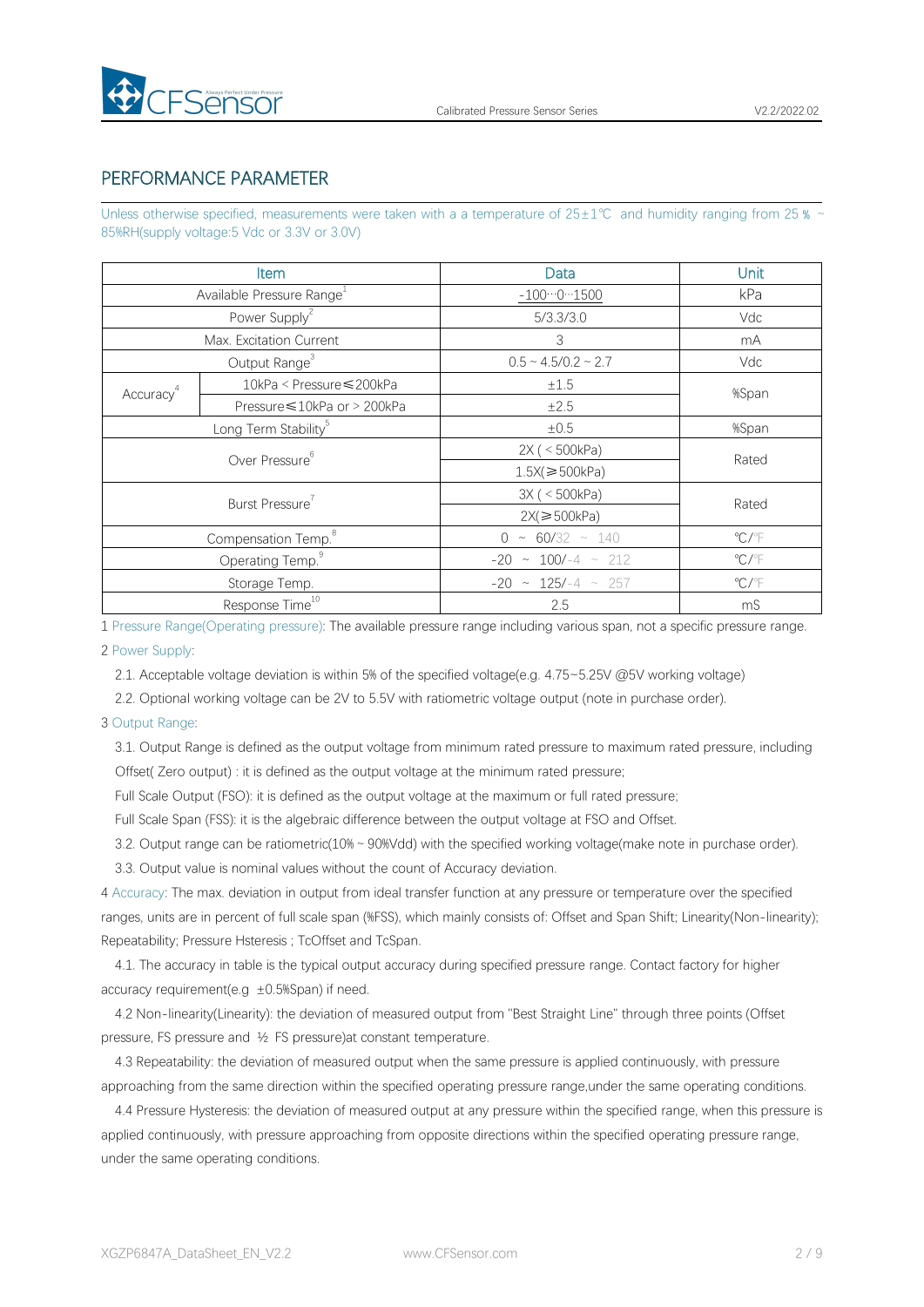

# PERFORMANCE PARAMETER

Unless otherwise specified, measurements were taken with a a temperature of  $25±1°C$  and humidity ranging from 25  $\frac{1}{2}$ 85%RH(supply voltage:5 Vdc or 3.3V or 3.0V)

|                       | <b>Item</b>                           | Data                          | Unit                    |
|-----------------------|---------------------------------------|-------------------------------|-------------------------|
|                       | Available Pressure Range <sup>1</sup> | $-10001500$                   | kPa                     |
|                       | Power Supply <sup>2</sup>             | 5/3.3/3.0                     | Vdc                     |
|                       | Max. Excitation Current               | $\mathcal{S}$                 | mA                      |
|                       | Output Range <sup>3</sup>             | $0.5 \sim 4.5/0.2 \sim 2.7$   | Vdc                     |
| Accuracy <sup>4</sup> | 10kPa < Pressure ≤ 200kPa             | ±1.5                          | %Span                   |
|                       | Pressure ≤ 10kPa or > 200kPa          | ±2.5                          |                         |
|                       | Long Term Stability <sup>5</sup>      | $\pm 0.5$                     | %Span                   |
|                       | Over Pressure <sup>6</sup>            | 2X ( < 500kPa)                | Rated                   |
|                       |                                       | $1.5X$ $\geq 500kPa$          |                         |
|                       | Burst Pressure <sup>7</sup>           | 3X ( < 500kPa)                | Rated                   |
|                       |                                       | $2X \geqslant 500 \text{kPa}$ |                         |
|                       | Compensation Temp. <sup>8</sup>       | $0 \sim 60/32 \sim 140$       | $\mathrm{C}/\mathrm{F}$ |
|                       | Operating Temp. <sup>9</sup>          | $-20 \sim 100/-4 \sim 212$    | $\mathrm{C}/\mathrm{F}$ |
|                       | Storage Temp.                         | $-20 \sim 125/-4 \sim 257$    | $\mathrm{C}/\mathrm{F}$ |
|                       | Response Time <sup>10</sup>           | 2.5                           | mS                      |

1 Pressure Range(Operating pressure): The available pressure range including variousspan, not a specific pressure range.

2 Power Supply:

2.1. Acceptable voltage deviation is within 5% of the specified voltage(e.g. 4.75~5.25V @5V working voltage)

2.2. Optional working voltage can be 2V to 5.5V with ratiometric voltage output (note in purchase order).

#### 3 Output Range:

3.1. Output Range is defined as the output voltage from minimum rated pressure to maximum rated pressure, including Offset( Zero output) : it is defined as the output voltage at the minimum rated pressure;

Full Scale Output (FSO): it is defined as the output voltage at the maximum or full rated pressure;

Full Scale Span (FSS): it is the algebraic difference between the output voltage at FSO and Offset.

3.2. Output range can be ratiometric(10%~90%Vdd) with the specified working voltage(make note in purchase order).

3.3. Output value is nominal values without the count of Accuracy deviation.

4 Accuracy: The max. deviation in output from ideal transfer function at any pressure or temperature over the specified ranges, units are in percent of full scale span (%FSS), which mainly consists of: Offset and Span Shift; Linearity(Non-linearity); Repeatability; Pressure Hsteresis ; TcOffset and TcSpan.

4.1. The accuracy in table is the typical output accuracy during specified pressure range. Contact factory for higher accuracy requirement(e.g  $\pm 0.5$ %Span) if need.

4.2 Non-linearity(Linearity): the deviation of measured output from "Best Straight Line" through three points (Offset pressure, FS pressure and ½ FS pressure)at constant temperature.

4.3 Repeatability: the deviation of measured output when the same pressure is applied continuously, with pressure approaching from the same direction within the specified operating pressure range,under the same operating conditions.

4.4 Pressure Hysteresis: the deviation of measured output at any pressure within the specified range, when this pressure is applied continuously, with pressure approaching from opposite directions within the specified operating pressure range, under the same operating conditions.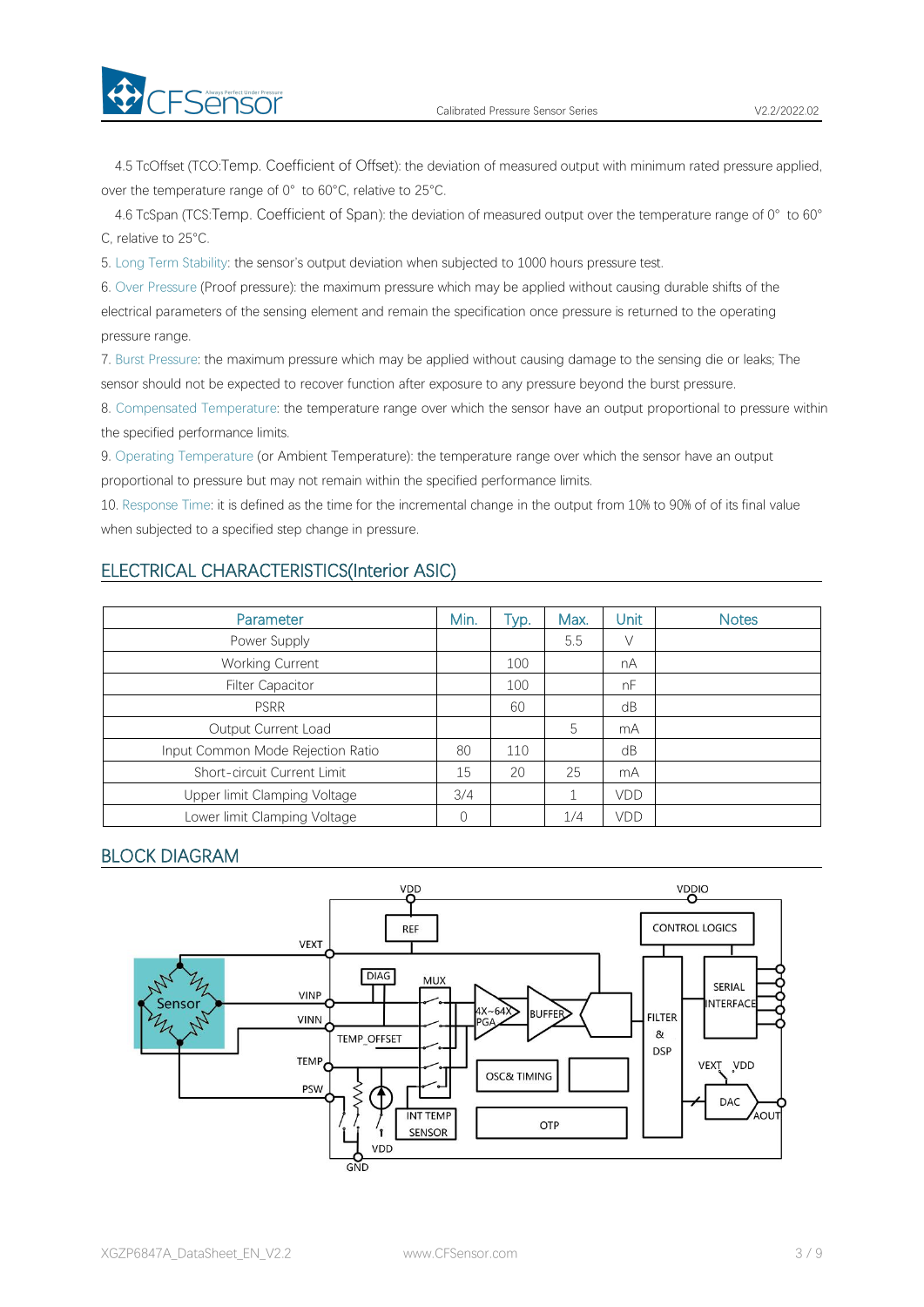

4.5 TcOffset (TCO:Temp. Coefficient of Offset): the deviation of measured output with minimum rated pressure applied, over the temperature range of 0° to 60°C, relative to 25°C.

4.6 TcSpan (TCS:Temp. Coefficient of Span): the deviation of measured output over the temperature range of 0° to 60° C, relative to 25°C.

5. Long Term Stability: the sensor's output deviation when subjected to 1000 hours pressure test.

6. Over Pressure (Proof pressure): the maximum pressure which may be applied without causing durable shifts of the electrical parameters of the sensing element and remain the specification once pressure is returned to the operating pressure range.

7. Burst Pressure: the maximum pressure which may be applied without causing damage to the sensing die or leaks; The sensor should not be expected to recover function after exposure to any pressure beyond the burst pressure.

8. Compensated Temperature: the temperature range over which the sensor have an output proportional to pressure within the specified performance limits.

9. Operating Temperature (or Ambient Temperature): the temperature range over which the sensor have an output proportional to pressure but may not remain within the specified performance limits.

10. Response Time: it is defined as the time for the incremental change in the output from 10% to 90% of of its final value when subjected to a specified step change in pressure.

# ELECTRICAL CHARACTERISTICS(Interior ASIC)

| Parameter                         | Min. | Typ. | Max. | Unit | <b>Notes</b> |
|-----------------------------------|------|------|------|------|--------------|
| Power Supply                      |      |      | 5.5  | V    |              |
| <b>Working Current</b>            |      | 100  |      | nA   |              |
| <b>Filter Capacitor</b>           |      | 100  |      | nF   |              |
| <b>PSRR</b>                       |      | 60   |      | dB   |              |
| Output Current Load               |      |      | 5    | mA   |              |
| Input Common Mode Rejection Ratio | 80   | 110  |      | dB   |              |
| Short-circuit Current Limit       | 15   | 20   | 25   | mA   |              |
| Upper limit Clamping Voltage      | 3/4  |      |      | VDD  |              |
| Lower limit Clamping Voltage      | 0    |      | 1/4  | VDD  |              |

# BLOCK DIAGRAM

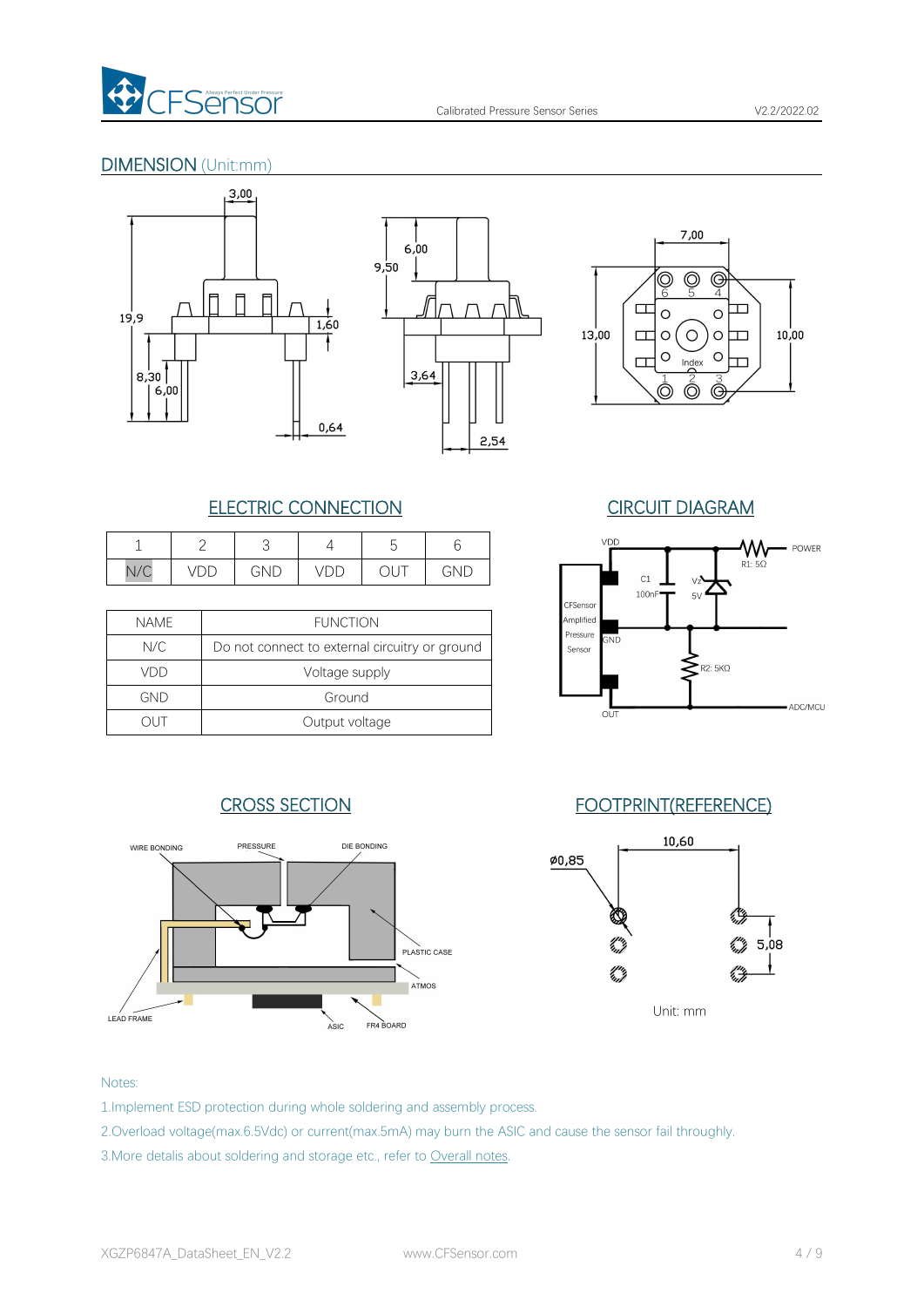

# DIMENSION (Unit:mm)







# ELECTRIC CONNECTION CIRCUIT DIAGRAM

|     | _                                  |     |                  | ∽  |     |
|-----|------------------------------------|-----|------------------|----|-----|
| N/C | $\overline{\phantom{0}}$<br>◡<br>◡ | GND | $\sqrt{2}$<br>レレ | ◡◡ | GND |

| <b>NAME</b> | <b>FUNCTION</b>                                |
|-------------|------------------------------------------------|
| N/C         | Do not connect to external circuitry or ground |
| VDD         | Voltage supply                                 |
| GND         | Ground                                         |
|             | Output voltage                                 |





# CROSS SECTION FOOTPRINT(REFERENCE)



Unit: mm

### Notes:

- 1.Implement ESD protection during whole soldering and assembly process.
- 2.Overload voltage(max.6.5Vdc) or current(max.5mA) may burn the ASIC and cause the sensor fail throughly.
- 3. More detalis about soldering and storage etc., refer to [Overall](#page-6-0) notes.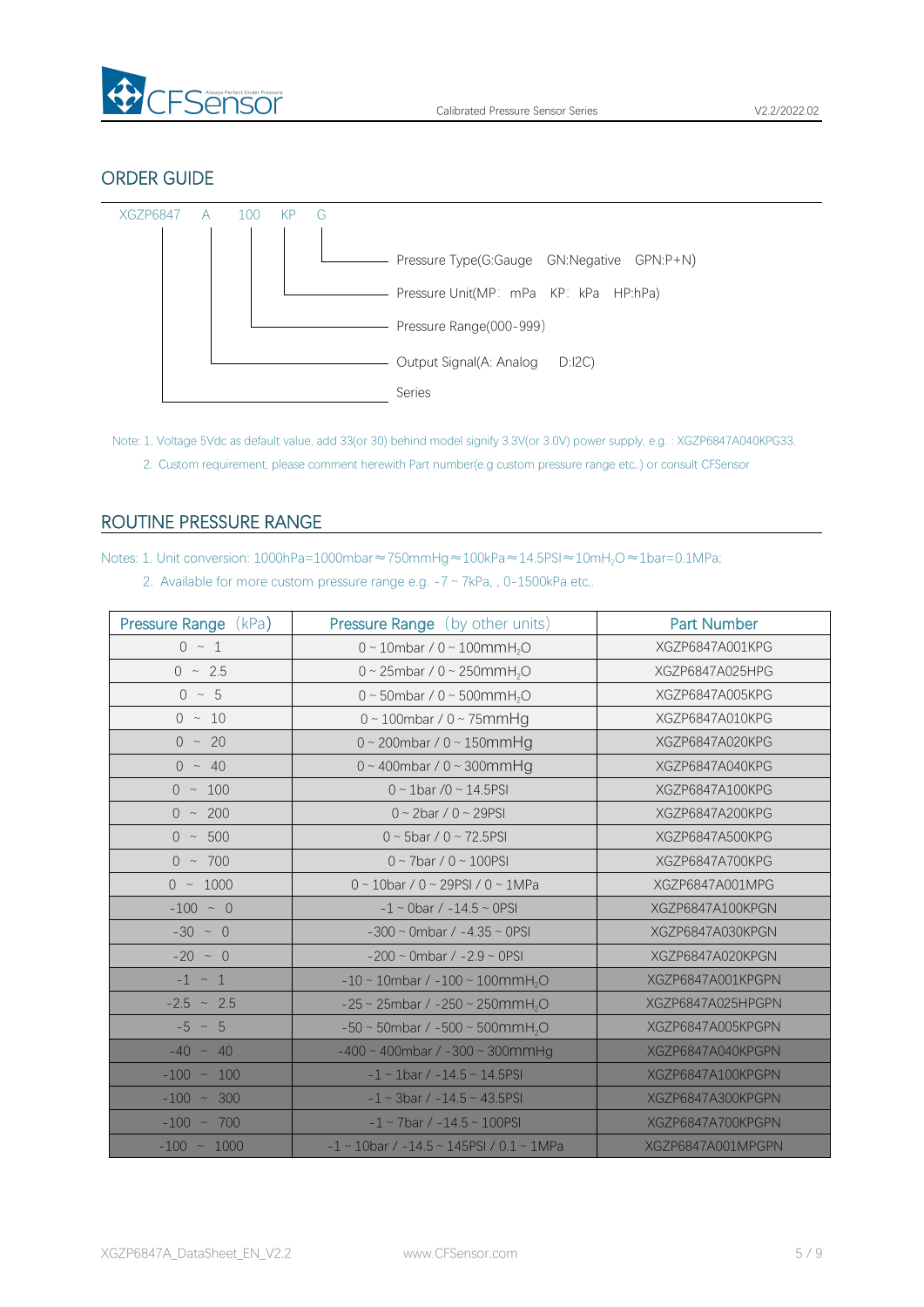

### ORDER GUIDE



Note: 1. Voltage 5Vdc as default value, add 33(or 30) behind model signify 3.3V(or 3.0V) power supply, e.g. : XGZP6847A040KPG33. 2. Custom requirement, please comment herewith Part number(e.g custom pressure range etc,.) or consult CFSensor

# <span id="page-4-0"></span>ROUTINE PRESSURE RANGE

Notes: 1. Unit conversion: 1000hPa=1000mbar≈750mmHg≈100kPa≈14.5PSI≈10mH<sub>2</sub>O≈1bar=0.1MPa;

|  | 2. Available for more custom pressure range e.g. $-7 \sim 7kPa$ , 0-1500kPa etc. |  |  |  |  |
|--|----------------------------------------------------------------------------------|--|--|--|--|
|--|----------------------------------------------------------------------------------|--|--|--|--|

| Pressure Range (kPa) | <b>Pressure Range</b> (by other units)                     | Part Number       |
|----------------------|------------------------------------------------------------|-------------------|
| $0 \sim 1$           | $0 \sim 10$ mbar / $0 \sim 100$ mmH <sub>2</sub> O         | XGZP6847A001KPG   |
| $0 \sim 2.5$         | 0 ~ 25mbar / 0 ~ 250mmH <sub>2</sub> O                     | XGZP6847A025HPG   |
| $0 \sim 5$           | 0 ~ 50mbar / 0 ~ 500mmH <sub>2</sub> O                     | XGZP6847A005KPG   |
| $0 \sim 10$          | $0 \sim 100$ mbar / $0 \sim 75$ mmHg                       | XGZP6847A010KPG   |
| $0 \sim 20$          | $0 \sim 200$ mbar / $0 \sim 150$ mmHg                      | XGZP6847A020KPG   |
| $0 \sim 40$          | $0 \sim 400$ mbar / $0 \sim 300$ mmHg                      | XGZP6847A040KPG   |
| $0 \sim 100$         | $0 \sim 1$ bar /0 ~ 14.5PSI                                | XGZP6847A100KPG   |
| $0 \sim 200$         | $0 \sim 2$ bar / $0 \sim 29$ PSI                           | XGZP6847A200KPG   |
| $0 \sim 500$         | $0 \sim 5$ bar / $0 \sim 72.5$ PSI                         | XGZP6847A500KPG   |
| $0 \sim 700$         | $0 \sim 7$ bar / $0 \sim 100$ PSI                          | XGZP6847A700KPG   |
| $0 \sim 1000$        | $0 \sim 10$ bar / 0 ~ 29PSI / 0 ~ 1MPa                     | XGZP6847A001MPG   |
| $-100 \sim 0$        | $-1 \sim$ 0bar / $-14.5 \sim$ 0PSI                         | XGZP6847A100KPGN  |
| $-30 \sim 0$         | $-300 \sim$ 0mbar / $-4.35 \sim$ 0PSI                      | XGZP6847A030KPGN  |
| $-20$ ~ 0            | $-200 \sim$ 0mbar / $-2.9 \sim$ 0PSI                       | XGZP6847A020KPGN  |
| $-1 \sim 1$          | $-10 \sim 10$ mbar / $-100 \sim 100$ mmH <sub>2</sub> O    | XGZP6847A001KPGPN |
| $-2.5$ ~ 2.5         | $-25 \sim 25$ mbar / $-250 \sim 250$ mmH <sub>2</sub> O    | XGZP6847A025HPGPN |
| $-5 \sim 5$          | $-50 \sim 50$ mbar / $-500 \sim 500$ mmH <sub>2</sub> O    | XGZP6847A005KPGPN |
| $-40 \sim 40$        | $-400 \sim 400$ mbar / $-300 \sim 300$ mmHg                | XGZP6847A040KPGPN |
| $-100 - 100$         | $-1 \sim 1$ bar / $-14.5 \sim 14.5$ PSI                    | XGZP6847A100KPGPN |
| $-100 \sim 300$      | $-1 \sim 3$ bar / $-14.5 \sim 43.5$ PSI                    | XGZP6847A300KPGPN |
| $-100 \sim 700$      | $-1 \sim 7$ bar / $-14.5 \sim 100$ PSI                     | XGZP6847A700KPGPN |
| $-100 \sim 1000$     | $-1 \sim 10$ bar / $-14.5 \sim 145$ PSI / 0.1 $\sim 1$ MPa | XGZP6847A001MPGPN |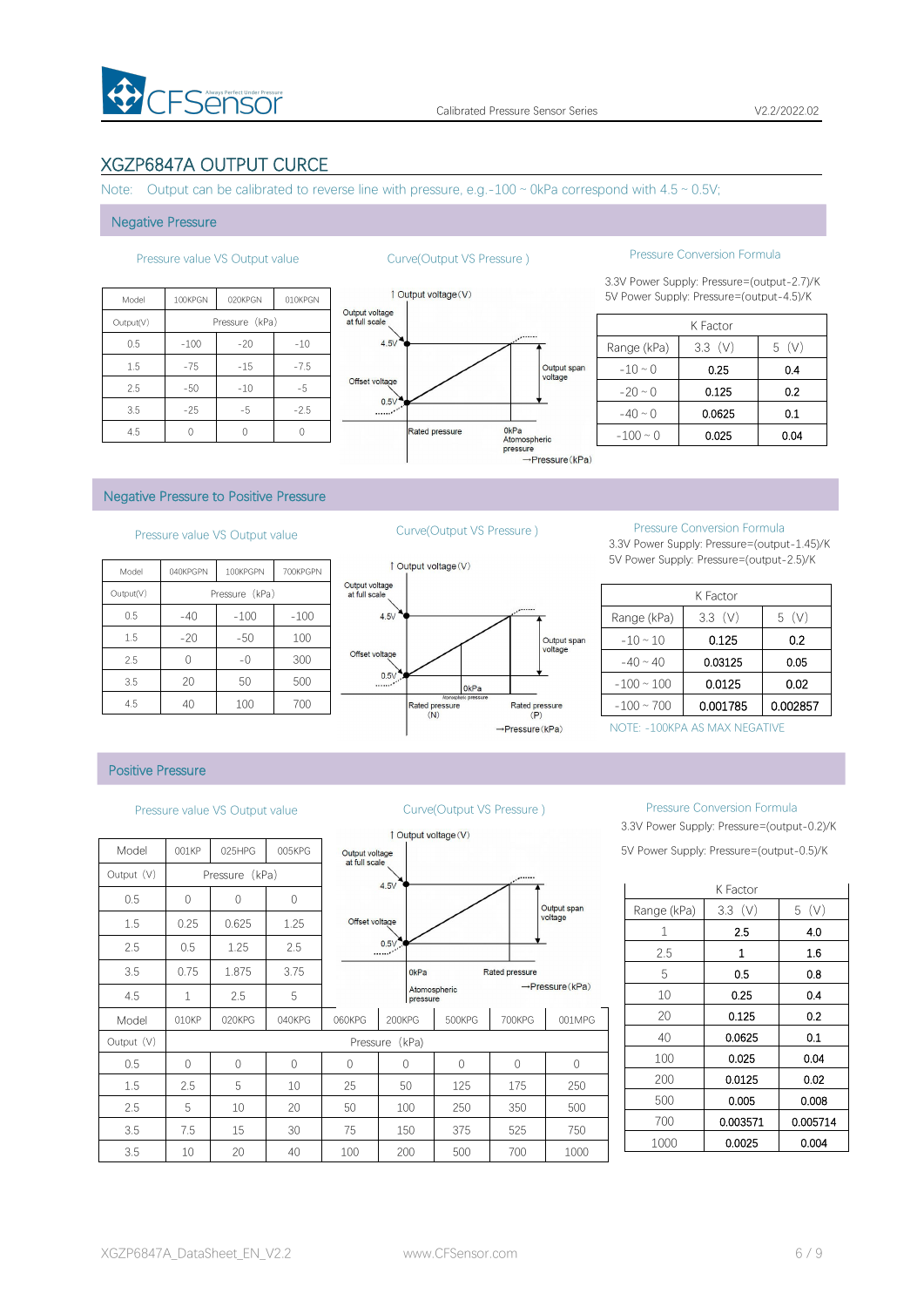

# XGZP6847A OUTPUT CURCE

Note: Output can be calibrated to reverse line with pressure, e.g.-100  $\sim$  0kPa correspond with 4.5  $\sim$  0.5V;

#### Negative Pressure

| <b>Ou</b>                       | 010KPGN | 020KPGN        | 100KPGN | Model     |
|---------------------------------|---------|----------------|---------|-----------|
| Output voltage<br>at full scale |         | Pressure (kPa) |         | Output(V) |
| 4.5V                            | $-10$   | $-20$          | $-100$  | 0.5       |
|                                 | $-7.5$  | $-15$          | $-75$   | 1.5       |
| Offset voltage                  | $-5$    | $-10$          | $-50$   | 2.5       |
| 0.5V<br>$\ldots$                | $-2.5$  | $-5$           | $-25$   | 3.5       |
|                                 |         |                |         | 4.5       |



### Pressure value VS Output value Curve(Output VS Pressure ) Pressure Conversion Formula

3.3V Power Supply: Pressure=(output-2.7)/K 1 Output voltage (V) 5V Power Supply: Pressure=(output-4.5)/K

|               | K Factor |      |
|---------------|----------|------|
| Range (kPa)   | 3.3(V)   | 5(V) |
| $-10 \sim 0$  | 0.25     | 0.4  |
| $-20 \sim 0$  | 0.125    | 0.2  |
| $-40 \sim 0$  | 0.0625   | 0.1  |
| $-100 \sim 0$ | 0.025    | 0.04 |

#### Negative Pressure to Positive Pressure

# Pressure value VS Output value Curve(Output VS Pressure ) Pressure Conversion Formula

| 1 Output vo     |                                 | 700KPGPN | 100KPGPN       | 040KPGPN | Model     |
|-----------------|---------------------------------|----------|----------------|----------|-----------|
|                 | Output voltage<br>at full scale |          | Pressure (kPa) |          | Output(V) |
|                 | 4.5V                            | $-100$   | $-100$         | $-40$    | 0.5       |
|                 |                                 | 100      | $-50$          | $-20$    | 1.5       |
|                 | Offset voltage                  | 300      | $-0$           |          | 2.5       |
|                 | 0.5V                            | 500      | 50             | 20       | 3.5       |
| Rated pr<br>(N) |                                 | 700      | 100            | 40       | 4.5       |



3.3V Power Supply: Pressure=(output-1.45)/K 5V Power Supply: Pressure=(output-2.5)/K

|                 | K Factor |          |
|-----------------|----------|----------|
| Range (kPa)     | 3.3(V)   | 5(V)     |
| $-10 \sim 10$   | 0.125    | 0.2      |
| $-40 \sim 40$   | 0.03125  | 0.05     |
| $-100 \sim 100$ | 0.0125   | 0.02     |
| $-100 \sim 700$ | 0.001785 | 0.002857 |

NOTE: -100KPA AS MAX NEGATIVE

#### Positive Pressure

|            |            |                |                |                                 |                  | Output voltage $(V)$ |                |                             |                      |   |
|------------|------------|----------------|----------------|---------------------------------|------------------|----------------------|----------------|-----------------------------|----------------------|---|
| Model      | 001KP      | 025HPG         | 005KPG         | Output voltage<br>at full scale |                  |                      |                |                             | 5V Power Supply: Pre |   |
| Output (V) |            | Pressure (kPa) |                |                                 | 4.5V             |                      | $\cdot$        |                             |                      |   |
| 0.5        | $\Omega$   | 0              | $\overline{0}$ |                                 |                  |                      |                |                             |                      | K |
| 1.5        | 0.25       | 0.625          | 1.25           | Offset voltage                  |                  |                      |                | Output span<br>voltage      | Range (kPa)          |   |
|            |            |                |                |                                 |                  |                      |                |                             | 1                    |   |
| 2.5        | 0.5        | 1.25           | 2.5            |                                 | 0.5V             |                      |                |                             | 2.5                  |   |
| 3.5        | 0.75       | 1.875          | 3.75           |                                 | 0 <sub>kPa</sub> |                      | Rated pressure |                             | 5                    |   |
| 4.5        | 1          | 2.5            | 5              |                                 | pressure         | Atomospheric         |                | $\rightarrow$ Pressure(kPa) | 10                   |   |
| Model      | 010KP      | 020KPG         | 040KPG         | 060KPG                          | 200KPG           | 500KPG               | 700KPG         | 001MPG                      | 20                   |   |
| Output (V) |            |                |                | Pressure                        | (kPa)            |                      |                |                             | 40                   |   |
| 0.5        | $\bigcirc$ | $\Omega$       | $\bigcap$      | $\mathbf{0}$                    | 0                | $\bigcirc$           | $\Omega$       | $\Omega$                    | 100                  |   |
| 1.5        | 2.5        | 5              | 10             | 25                              | 50               | 125                  | 175            | 250                         | 200                  |   |
| 2.5        | 5          | 10             | 20             | 50                              | 100              | 250                  | 350            | 500                         | 500                  |   |
| 3.5        | 7.5        | 15             | 30             | 75                              | 150              | 375                  | 525            | 750                         | 700                  |   |
|            |            |                |                |                                 |                  |                      |                |                             | 1000                 |   |
| 3.5        | 10         | 20             | 40             | 100                             | 200              | 500                  | 700            | 1000                        |                      |   |



#### Pressure value VS Output value Curve(Output VS Pressure ) Pressure Conversion Formula

3.3V Power Supply: Pressure=(output-0.2)/K 5V Power Supply: Pressure=(output-0.5)/K

|             | K Factor |          |
|-------------|----------|----------|
| Range (kPa) | 3.3(V)   | 5(V)     |
| 1           | 2.5      | 4.0      |
| 2.5         | 1        | 1.6      |
| 5           | 0.5      | 0.8      |
| 10          | 0.25     | 0.4      |
| 20          | 0.125    | 0.2      |
| 40          | 0.0625   | 0.1      |
| 100         | 0.025    | 0.04     |
| 200         | 0.0125   | 0.02     |
| 500         | 0.005    | 0.008    |
| 700         | 0.003571 | 0.005714 |
| 1000        | 0.0025   | 0.004    |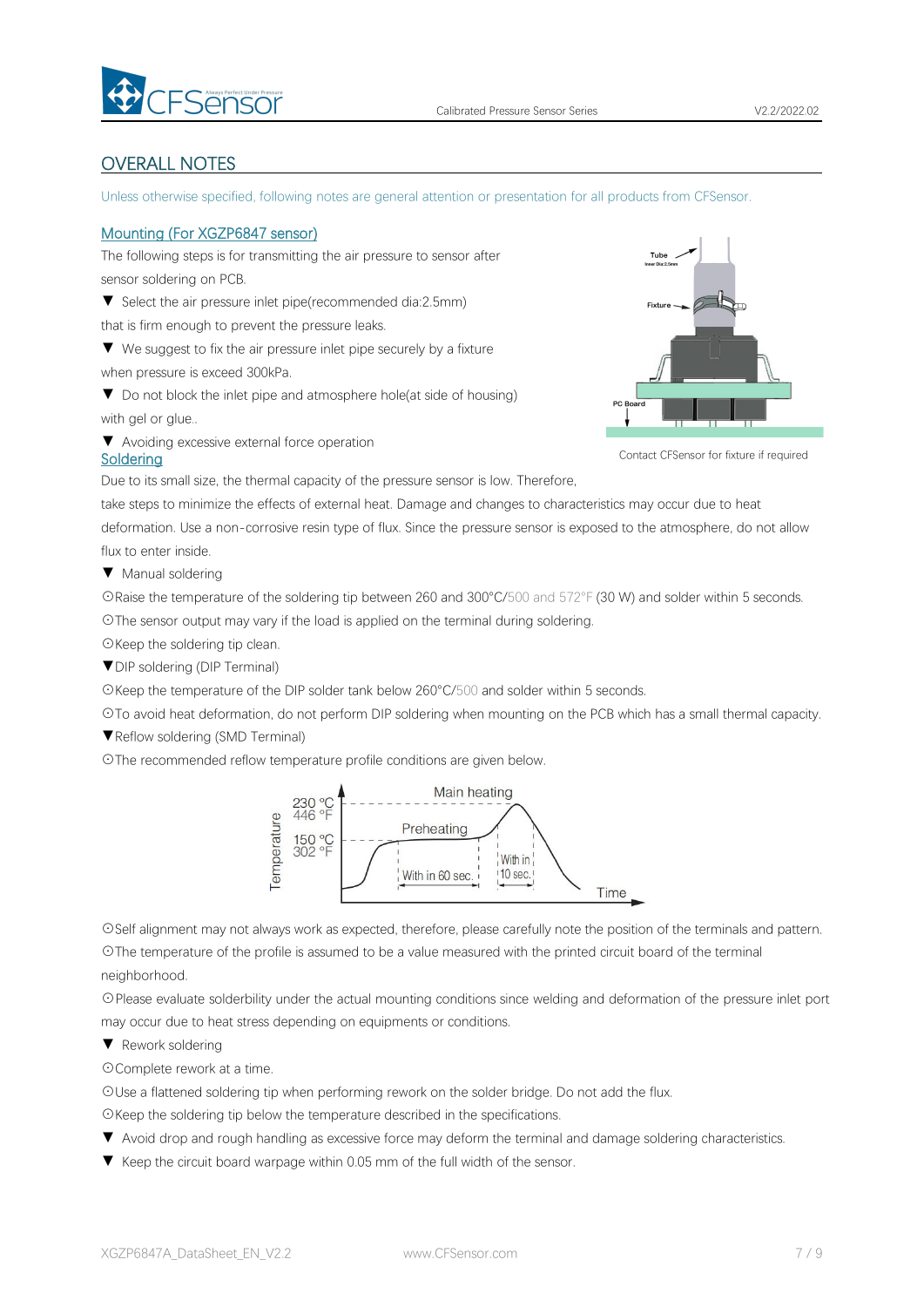

# <span id="page-6-0"></span>OVERALL NOTES

Unless otherwise specified, following notes are general attention or presentation for all products from CFSensor.

#### Mounting (For XGZP6847 sensor)

The following steps is for transmitting the air pressure to sensor after sensor soldering on PCB.

▼ Select the air pressure inlet pipe(recommended dia:2.5mm)

that is firm enough to prevent the pressure leaks.

▼ We suggest to fix the air pressure inlet pipe securely by a fixture when pressure is exceed 300kPa.

▼ Do not block the inlet pipe and atmosphere hole(at side of housing) with gel or glue..

▼ Avoiding excessive external force operation



Contact CFSensor for fixture if required

Due to its small size, the thermal capacity of the pressure sensor is low. Therefore,

take steps to minimize the effects of external heat. Damage and changes to characteristics may occur due to heat deformation. Use a non-corrosive resin type of flux. Since the pressure sensor is exposed to the atmosphere, do not allow flux to enter inside.

▼ Manual soldering

Soldering

☉Raise the temperature of the soldering tip between 260 and 300°C/500 and 572°F (30 W) and solder within 5 seconds. ☉The sensor output may vary if the load is applied on the terminal during soldering.

☉Keep the soldering tip clean.

▼DIP soldering (DIP Terminal)

☉Keep the temperature of the DIP solder tank below 260°C/500 and solder within 5 seconds.

☉To avoid heat deformation, do not perform DIP soldering when mounting on the PCB which has a small thermal capacity.

▼Reflow soldering (SMD Terminal)

☉The recommended reflow temperature profile conditions are given below.



☉Self alignment may not always work as expected, therefore, please carefully note the position of the terminals and pattern.

☉The temperature of the profile is assumed to be a value measured with the printed circuit board of the terminal neighborhood.

☉Please evaluate solderbility under the actual mounting conditions since welding and deformation of the pressure inlet port may occur due to heat stress depending on equipments or conditions.

▼ Rework soldering

☉Complete rework at a time.

☉Use a flattened soldering tip when performing rework on the solder bridge. Do not add the flux.

☉Keep the soldering tip below the temperature described in the specifications.

- ▼ Avoid drop and rough handling as excessive force may deform the terminal and damage soldering characteristics.
- ▼ Keep the circuit board warpage within 0.05 mm of the full width of the sensor.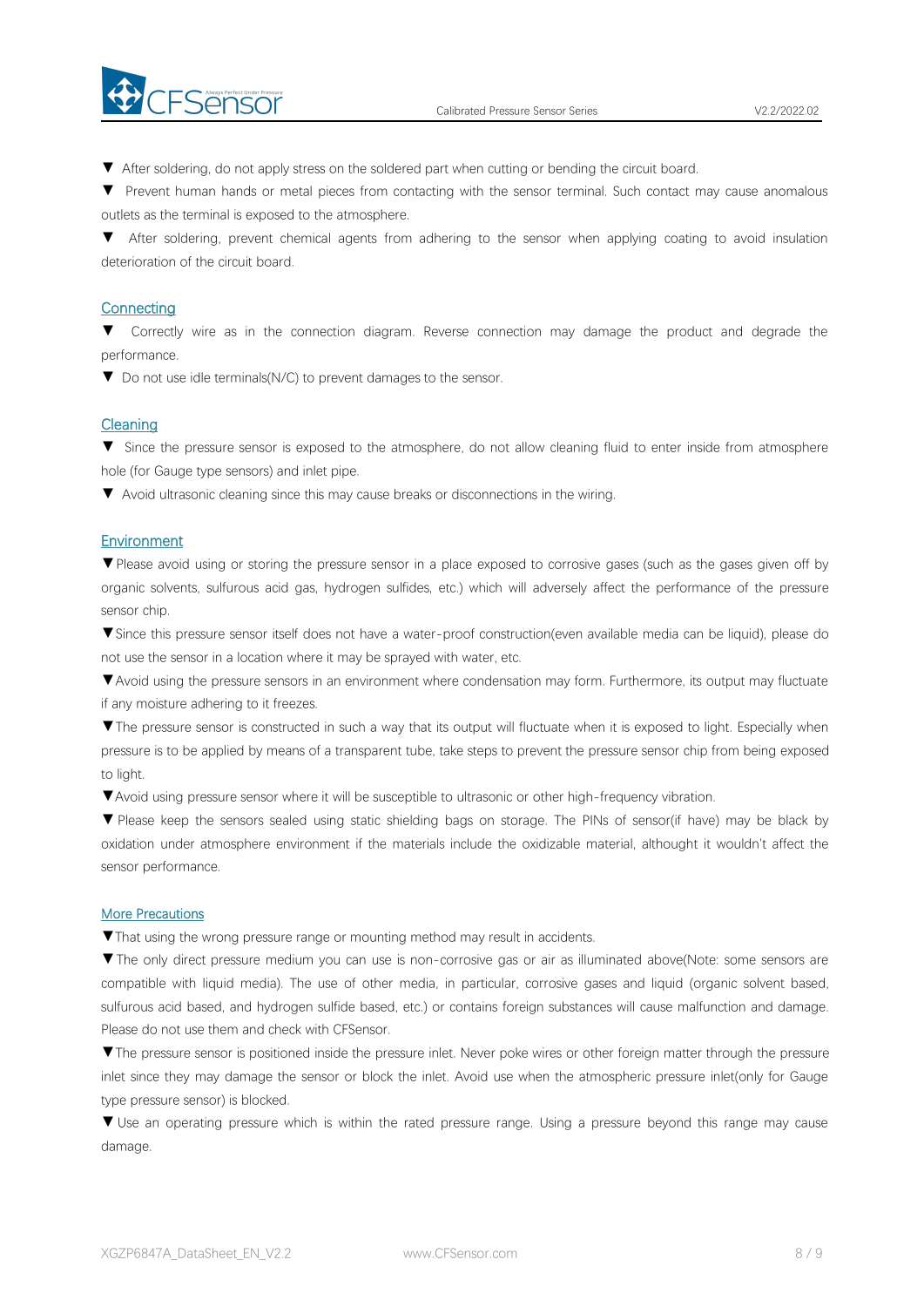

▼ After soldering, do not apply stress on the soldered part when cutting or bending the circuit board.

▼ Prevent human hands or metal pieces from contacting with the sensor terminal. Such contact may cause anomalous outlets as the terminal is exposed to the atmosphere.

▼ After soldering, prevent chemical agents from adhering to the sensor when applying coating to avoid insulation deterioration of the circuit board.

#### **Connecting**

▼ Correctly wire as in the connection diagram. Reverse connection may damage the product and degrade the performance.

▼ Do not use idle terminals(N/C) to prevent damages to the sensor.

#### **Cleaning**

▼ Since the pressure sensor is exposed to the atmosphere, do not allow cleaning fluid to enter inside from atmosphere hole (for Gauge type sensors) and inlet pipe.

▼ Avoid ultrasonic cleaning since this may cause breaks or disconnections in the wiring.

#### **Environment**

▼Please avoid using or storing the pressure sensor in a place exposed to corrosive gases (such as the gases given off by organic solvents, sulfurous acid gas, hydrogen sulfides, etc.) which will adversely affect the performance of the pressure sensor chip.

▼Since this pressure sensor itself does not have a water-proof construction(even available media can be liquid), please do not use the sensor in alocation where it may be sprayed with water, etc.

▼Avoid using the pressure sensors in an environment where condensation may form. Furthermore, its output may fluctuate if any moisture adhering to it freezes.

▼The pressure sensor is constructed in such a way that its output will fluctuate when it is exposed to light. Especially when pressure is to be applied by means of a transparent tube, take steps to prevent the pressure sensor chip from being exposed to light.

▼Avoid using pressure sensor where it will be susceptible to ultrasonic or other high-frequency vibration.

▼ Please keep the sensors sealed using static shielding bags on storage. The PINs of sensor(if have) may be black by oxidation under atmosphere environment if the materials include the oxidizable material, althought it wouldn't affect the sensor performance.

#### More Precautions

▼That using the wrong pressure range or mounting method mayresult in accidents.

▼The only direct pressure medium you can use is non-corrosive gas or air as illuminated above(Note: some sensors are compatible with liquid media). The use of other media, in particular, corrosive gases and liquid (organic solvent based, sulfurous acid based, and hydrogen sulfide based, etc.) or contains foreign substances will cause malfunction and damage.<br>Please do not use them and check with CFSensor.

▼The pressure sensor is positioned inside the pressure inlet. Never poke wires orother foreign matter through the pressure inlet since they may damage the sensor or block the inlet. Avoid use when the atmospheric pressure inlet(only for Gauge type pressure sensor) is blocked.

▼ Use an operating pressure which is within the rated pressure range. Using a pressure beyond this range may cause damage.